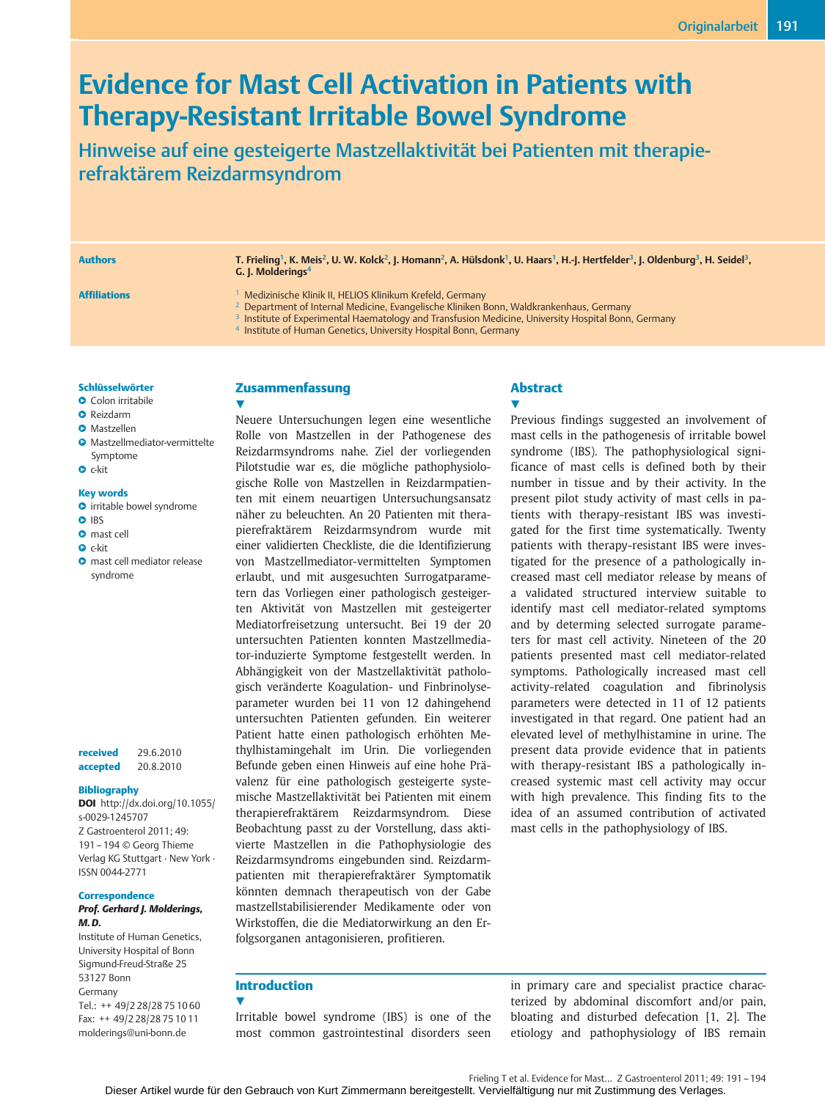# Evidence for Mast Cell Activation in Patients with Therapy-Resistant Irritable Bowel Syndrome

Hinweise auf eine gesteigerte Mastzellaktivität bei Patienten mit therapierefraktärem Reizdarmsyndrom

Authors T. Frieling<sup>1</sup>, K. Meis<sup>2</sup>, U. W. Kolck<sup>2</sup>, J. Homann<sup>2</sup>, A. Hülsdonk<sup>1</sup>, U. Haars<sup>1</sup>, H.-J. Hertfelder<sup>3</sup>, J. Oldenburg<sup>3</sup>, H. Seidel<sup>3</sup>, G. J. Molderings<sup>4</sup>

- Affiliations 1 Medizinische Klinik II, HELIOS Klinikum Krefeld, Germany
	- <sup>2</sup> Department of Internal Medicine, Evangelische Kliniken Bonn, Waldkrankenhaus, Germany
	- <sup>3</sup> Institute of Experimental Haematology and Transfusion Medicine, University Hospital Bonn, Germany
	- <sup>4</sup> Institute of Human Genetics, University Hospital Bonn, Germany

#### Schlüsselwörter

- **O** Colon irritabile
- **O** Reizdarm
- **O** Mastzellen
- ●▶ Mastzellmediator-vermittelte Symptome
- $\bullet$  c-kit
- 

### Key words

- **O** irritable bowel syndrome
- **O** IBS
- **O** mast cell
- $\bullet$  c-kit
- **O** mast cell mediator release syndrome

received 29.6.2010 accepted 20.8.2010

#### Bibliography

DOI http://dx.doi.org/10.1055/ s-0029-1245707 Z Gastroenterol 2011; 49: 191–194 © Georg Thieme Verlag KG Stuttgart ∙ New York ∙ ISSN 0044-2771

#### **Correspondence**

#### Prof. Gerhard J. Molderings, M. D.

Institute of Human Genetics, University Hospital of Bonn Sigmund-Freud-Straße 25 53127 Bonn Germany Tel.: ++ 49/2 28/28 75 10 60 Fax: ++ 49/2 28/28 75 10 11 molderings@uni-bonn.de

### Zusammenfassung

 $\blacktriangledown$ 

Neuere Untersuchungen legen eine wesentliche Rolle von Mastzellen in der Pathogenese des Reizdarmsyndroms nahe. Ziel der vorliegenden Pilotstudie war es, die mögliche pathophysiologische Rolle von Mastzellen in Reizdarmpatienten mit einem neuartigen Untersuchungsansatz näher zu beleuchten. An 20 Patienten mit therapierefraktärem Reizdarmsyndrom wurde mit einer validierten Checkliste, die die Identifizierung von Mastzellmediator-vermittelten Symptomen erlaubt, und mit ausgesuchten Surrogatparametern das Vorliegen einer pathologisch gesteigerten Aktivität von Mastzellen mit gesteigerter Mediatorfreisetzung untersucht. Bei 19 der 20 untersuchten Patienten konnten Mastzellmediator-induzierte Symptome festgestellt werden. In Abhängigkeit von der Mastzellaktivität pathologisch veränderte Koagulation- und Finbrinolyseparameter wurden bei 11 von 12 dahingehend untersuchten Patienten gefunden. Ein weiterer Patient hatte einen pathologisch erhöhten Methylhistamingehalt im Urin. Die vorliegenden Befunde geben einen Hinweis auf eine hohe Prävalenz für eine pathologisch gesteigerte systemische Mastzellaktivität bei Patienten mit einem therapierefraktärem Reizdarmsyndrom. Diese Beobachtung passt zu der Vorstellung, dass aktivierte Mastzellen in die Pathophysiologie des Reizdarmsyndroms eingebunden sind. Reizdarmpatienten mit therapierefraktärer Symptomatik könnten demnach therapeutisch von der Gabe mastzellstabilisierender Medikamente oder von Wirkstoffen, die die Mediatorwirkung an den Erfolgsorganen antagonisieren, profitieren.

## Abstract

 $\blacktriangledown$ Previous findings suggested an involvement of mast cells in the pathogenesis of irritable bowel syndrome (IBS). The pathophysiological significance of mast cells is defined both by their number in tissue and by their activity. In the present pilot study activity of mast cells in patients with therapy-resistant IBS was investigated for the first time systematically. Twenty patients with therapy-resistant IBS were investigated for the presence of a pathologically increased mast cell mediator release by means of a validated structured interview suitable to identify mast cell mediator-related symptoms and by determing selected surrogate parameters for mast cell activity. Nineteen of the 20 patients presented mast cell mediator-related symptoms. Pathologically increased mast cell activity-related coagulation and fibrinolysis parameters were detected in 11 of 12 patients investigated in that regard. One patient had an elevated level of methylhistamine in urine. The present data provide evidence that in patients with therapy-resistant IBS a pathologically increased systemic mast cell activity may occur with high prevalence. This finding fits to the idea of an assumed contribution of activated mast cells in the pathophysiology of IBS.

### Introduction

 $\blacktriangledown$ 

Irritable bowel syndrome (IBS) is one of the most common gastrointestinal disorders seen in primary care and specialist practice characterized by abdominal discomfort and/or pain, bloating and disturbed defecation [1, 2]. The etiology and pathophysiology of IBS remain

Frieling T et al. Evidence for Mast… Z Gastroenterol 2011; 49: 191–194

Dieser Artikel wurde für den Gebrauch von Kurt Zimmermann bereitgestellt. Vervielfältigung nur mit Zustimmung des Verlages.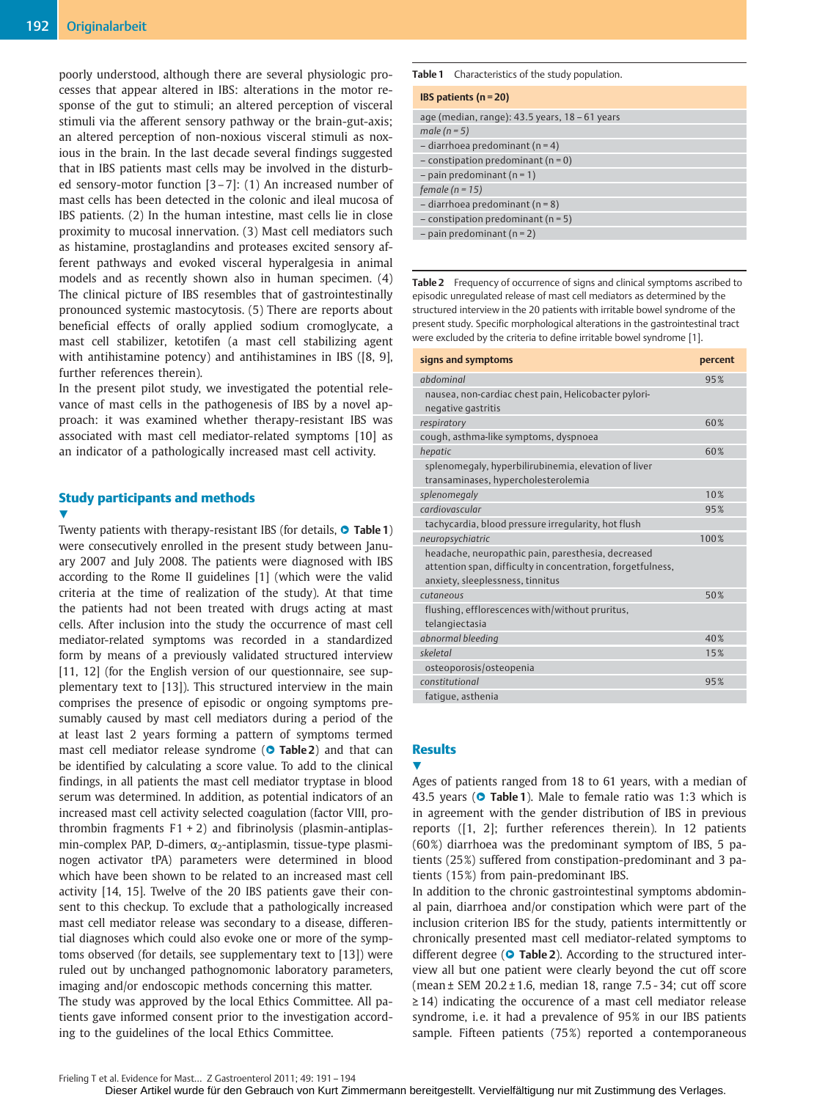poorly understood, although there are several physiologic processes that appear altered in IBS: alterations in the motor response of the gut to stimuli; an altered perception of visceral stimuli via the afferent sensory pathway or the brain-gut-axis; an altered perception of non-noxious visceral stimuli as noxious in the brain. In the last decade several findings suggested that in IBS patients mast cells may be involved in the disturbed sensory-motor function [3–7]: (1) An increased number of mast cells has been detected in the colonic and ileal mucosa of IBS patients. (2) In the human intestine, mast cells lie in close proximity to mucosal innervation. (3) Mast cell mediators such as histamine, prostaglandins and proteases excited sensory afferent pathways and evoked visceral hyperalgesia in animal models and as recently shown also in human specimen. (4) The clinical picture of IBS resembles that of gastrointestinally pronounced systemic mastocytosis. (5) There are reports about beneficial effects of orally applied sodium cromoglycate, a mast cell stabilizer, ketotifen (a mast cell stabilizing agent with antihistamine potency) and antihistamines in IBS ([8, 9], further references therein).

In the present pilot study, we investigated the potential relevance of mast cells in the pathogenesis of IBS by a novel approach: it was examined whether therapy-resistant IBS was associated with mast cell mediator-related symptoms [10] as an indicator of a pathologically increased mast cell activity.

# Study participants and methods

v,

Twenty patients with therapy-resistant IBS (for details,  $\bullet$  Table 1) were consecutively enrolled in the present study between January 2007 and July 2008. The patients were diagnosed with IBS according to the Rome II guidelines [1] (which were the valid criteria at the time of realization of the study). At that time the patients had not been treated with drugs acting at mast cells. After inclusion into the study the occurrence of mast cell mediator-related symptoms was recorded in a standardized form by means of a previously validated structured interview [11, 12] (for the English version of our questionnaire, see supplementary text to [13]). This structured interview in the main comprises the presence of episodic or ongoing symptoms presumably caused by mast cell mediators during a period of the at least last 2 years forming a pattern of symptoms termed mast cell mediator release syndrome ( $\circ$  Table 2) and that can be identified by calculating a score value. To add to the clinical findings, in all patients the mast cell mediator tryptase in blood serum was determined. In addition, as potential indicators of an increased mast cell activity selected coagulation (factor VIII, prothrombin fragments  $F1 + 2$ ) and fibrinolysis (plasmin-antiplasmin-complex PAP, D-dimers,  $\alpha_2$ -antiplasmin, tissue-type plasminogen activator tPA) parameters were determined in blood which have been shown to be related to an increased mast cell activity [14, 15]. Twelve of the 20 IBS patients gave their consent to this checkup. To exclude that a pathologically increased mast cell mediator release was secondary to a disease, differential diagnoses which could also evoke one or more of the symptoms observed (for details, see supplementary text to [13]) were ruled out by unchanged pathognomonic laboratory parameters, imaging and/or endoscopic methods concerning this matter. The study was approved by the local Ethics Committee. All patients gave informed consent prior to the investigation according to the guidelines of the local Ethics Committee.

### Table 1 Characteristics of the study population.

| <b>IBS</b> patients $(n = 20)$                     |
|----------------------------------------------------|
| age (median, range): $43.5$ years, $18 - 61$ years |
| male ( $n = 5$ )                                   |
| $-$ diarrhoea predominant (n = 4)                  |
| $-$ constipation predominant (n = 0)               |
| $-$ pain predominant (n = 1)                       |
| female ( $n = 15$ )                                |
| $-$ diarrhoea predominant (n = 8)                  |
| $-$ constipation predominant (n = 5)               |
| $-$ pain predominant (n = 2)                       |

Table 2 Frequency of occurrence of signs and clinical symptoms ascribed to episodic unregulated release of mast cell mediators as determined by the structured interview in the 20 patients with irritable bowel syndrome of the present study. Specific morphological alterations in the gastrointestinal tract were excluded by the criteria to define irritable bowel syndrome [1].

| signs and symptoms                                                                                                                                    | percent |
|-------------------------------------------------------------------------------------------------------------------------------------------------------|---------|
| abdominal                                                                                                                                             | 95%     |
| nausea, non-cardiac chest pain, Helicobacter pylori-<br>negative gastritis                                                                            |         |
| respiratory                                                                                                                                           | 60%     |
| cough, asthma-like symptoms, dyspnoea                                                                                                                 |         |
| hepatic                                                                                                                                               | 60%     |
| splenomegaly, hyperbilirubinemia, elevation of liver<br>transaminases, hypercholesterolemia                                                           |         |
| splenomegaly                                                                                                                                          | 10%     |
| cardiovascular                                                                                                                                        | 95%     |
| tachycardia, blood pressure irregularity, hot flush                                                                                                   |         |
| neuropsychiatric                                                                                                                                      | 100%    |
| headache, neuropathic pain, paresthesia, decreased<br>attention span, difficulty in concentration, forgetfulness,<br>anxiety, sleeplessness, tinnitus |         |
| cutaneous                                                                                                                                             | 50%     |
| flushing, efflorescences with/without pruritus,<br>telangiectasia                                                                                     |         |
| abnormal bleeding                                                                                                                                     | 40%     |
| skeletal                                                                                                                                              | 15%     |
| osteoporosis/osteopenia                                                                                                                               |         |
| constitutional                                                                                                                                        | 95%     |
| fatique, asthenia                                                                                                                                     |         |
|                                                                                                                                                       |         |

### **Results**

**V** 

Ages of patients ranged from 18 to 61 years, with a median of 43.5 years ( $\bullet$  Table 1). Male to female ratio was 1:3 which is in agreement with the gender distribution of IBS in previous reports ([1, 2]; further references therein). In 12 patients (60%) diarrhoea was the predominant symptom of IBS, 5 patients (25%) suffered from constipation-predominant and 3 patients (15%) from pain-predominant IBS.

In addition to the chronic gastrointestinal symptoms abdominal pain, diarrhoea and/or constipation which were part of the inclusion criterion IBS for the study, patients intermittently or chronically presented mast cell mediator-related symptoms to different degree ( $\circ$  Table 2). According to the structured interview all but one patient were clearly beyond the cut off score (mean  $\pm$  SEM 20.2  $\pm$  1.6, median 18, range 7.5 - 34; cut off score ≥ 14) indicating the occurence of a mast cell mediator release syndrome, i.e. it had a prevalence of 95% in our IBS patients sample. Fifteen patients (75%) reported a contemporaneous

Dieser Artikel wurde für den Gebrauch von Kurt Zimmermann bereitgestellt. Vervielfältigung nur mit Zustimmung des Verlages.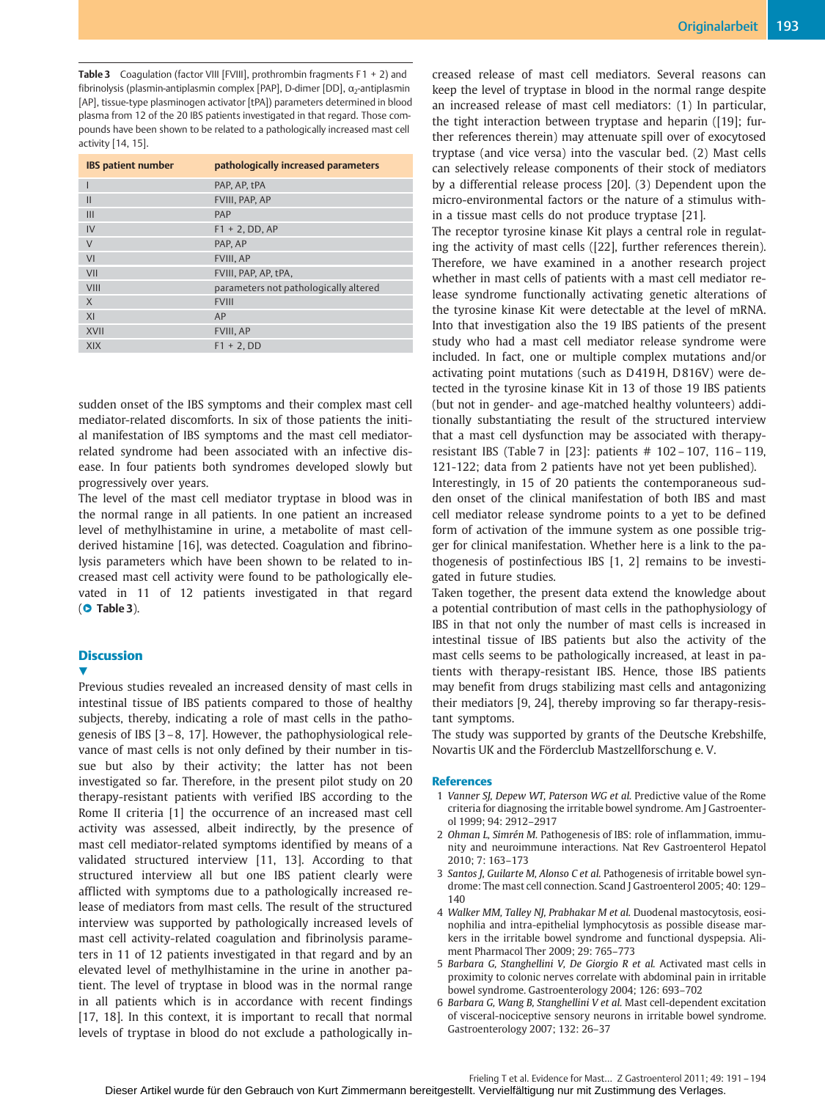Originalarbeit 193

**Table 3** Coagulation (factor VIII [FVIII], prothrombin fragments  $F1 + 2$ ) and fibrinolysis (plasmin-antiplasmin complex [PAP], D-dimer [DD],  $\alpha$ <sub>2</sub>-antiplasmin [AP], tissue-type plasminogen activator [tPA]) parameters determined in blood plasma from 12 of the 20 IBS patients investigated in that regard. Those compounds have been shown to be related to a pathologically increased mast cell activity [14, 15].

| <b>IBS</b> patient number | pathologically increased parameters   |
|---------------------------|---------------------------------------|
|                           | PAP. AP. tPA                          |
| $\mathbf{I}$              | FVIII, PAP, AP                        |
| III                       | PAP                                   |
| IV                        | $F1 + 2$ , DD, AP                     |
| V                         | PAP. AP                               |
| VI                        | FVIII, AP                             |
| VII                       | FVIII, PAP, AP, tPA,                  |
| VIII                      | parameters not pathologically altered |
| X                         | <b>FVIII</b>                          |
| XI                        | AP                                    |
| <b>XVII</b>               | FVIII, AP                             |
| <b>XIX</b>                | $F1 + 2$ , DD                         |

sudden onset of the IBS symptoms and their complex mast cell mediator-related discomforts. In six of those patients the initial manifestation of IBS symptoms and the mast cell mediatorrelated syndrome had been associated with an infective disease. In four patients both syndromes developed slowly but progressively over years.

The level of the mast cell mediator tryptase in blood was in the normal range in all patients. In one patient an increased level of methylhistamine in urine, a metabolite of mast cellderived histamine [16], was detected. Coagulation and fibrinolysis parameters which have been shown to be related to increased mast cell activity were found to be pathologically elevated in 11 of 12 patients investigated in that regard  $(O$  Table 3).

### **Discussion**

 $\blacktriangledown$ 

Previous studies revealed an increased density of mast cells in intestinal tissue of IBS patients compared to those of healthy subjects, thereby, indicating a role of mast cells in the pathogenesis of IBS [3–8, 17]. However, the pathophysiological relevance of mast cells is not only defined by their number in tissue but also by their activity; the latter has not been investigated so far. Therefore, in the present pilot study on 20 therapy-resistant patients with verified IBS according to the Rome II criteria [1] the occurrence of an increased mast cell activity was assessed, albeit indirectly, by the presence of mast cell mediator-related symptoms identified by means of a validated structured interview [11, 13]. According to that structured interview all but one IBS patient clearly were afflicted with symptoms due to a pathologically increased release of mediators from mast cells. The result of the structured interview was supported by pathologically increased levels of mast cell activity-related coagulation and fibrinolysis parameters in 11 of 12 patients investigated in that regard and by an elevated level of methylhistamine in the urine in another patient. The level of tryptase in blood was in the normal range in all patients which is in accordance with recent findings [17, 18]. In this context, it is important to recall that normal levels of tryptase in blood do not exclude a pathologically increased release of mast cell mediators. Several reasons can keep the level of tryptase in blood in the normal range despite an increased release of mast cell mediators: (1) In particular, the tight interaction between tryptase and heparin ([19]; further references therein) may attenuate spill over of exocytosed tryptase (and vice versa) into the vascular bed. (2) Mast cells can selectively release components of their stock of mediators by a differential release process [20]. (3) Dependent upon the micro-environmental factors or the nature of a stimulus within a tissue mast cells do not produce tryptase [21].

The receptor tyrosine kinase Kit plays a central role in regulating the activity of mast cells ([22], further references therein). Therefore, we have examined in a another research project whether in mast cells of patients with a mast cell mediator release syndrome functionally activating genetic alterations of the tyrosine kinase Kit were detectable at the level of mRNA. Into that investigation also the 19 IBS patients of the present study who had a mast cell mediator release syndrome were included. In fact, one or multiple complex mutations and/or activating point mutations (such as D419H, D816V) were detected in the tyrosine kinase Kit in 13 of those 19 IBS patients (but not in gender- and age-matched healthy volunteers) additionally substantiating the result of the structured interview that a mast cell dysfunction may be associated with therapyresistant IBS (Table 7 in [23]: patients # 102 – 107, 116 – 119, 121-122; data from 2 patients have not yet been published).

Interestingly, in 15 of 20 patients the contemporaneous sudden onset of the clinical manifestation of both IBS and mast cell mediator release syndrome points to a yet to be defined form of activation of the immune system as one possible trigger for clinical manifestation. Whether here is a link to the pathogenesis of postinfectious IBS [1, 2] remains to be investigated in future studies.

Taken together, the present data extend the knowledge about a potential contribution of mast cells in the pathophysiology of IBS in that not only the number of mast cells is increased in intestinal tissue of IBS patients but also the activity of the mast cells seems to be pathologically increased, at least in patients with therapy-resistant IBS. Hence, those IBS patients may benefit from drugs stabilizing mast cells and antagonizing their mediators [9, 24], thereby improving so far therapy-resistant symptoms.

The study was supported by grants of the Deutsche Krebshilfe, Novartis UK and the Förderclub Mastzellforschung e. V.

### References

- 1 Vanner SJ, Depew WT, Paterson WG et al. Predictive value of the Rome criteria for diagnosing the irritable bowel syndrome. Am J Gastroenterol 1999; 94: 2912–2917
- 2 Ohman L, Simrén M. Pathogenesis of IBS: role of inflammation, immunity and neuroimmune interactions. Nat Rev Gastroenterol Hepatol 2010; 7: 163–173
- 3 Santos J, Guilarte M, Alonso C et al. Pathogenesis of irritable bowel syndrome: The mast cell connection. Scand J Gastroenterol 2005; 40: 129– 140
- 4 Walker MM, Talley NJ, Prabhakar M et al. Duodenal mastocytosis, eosinophilia and intra-epithelial lymphocytosis as possible disease markers in the irritable bowel syndrome and functional dyspepsia. Aliment Pharmacol Ther 2009; 29: 765–773
- 5 Barbara G, Stanghellini V, De Giorgio R et al. Activated mast cells in proximity to colonic nerves correlate with abdominal pain in irritable bowel syndrome. Gastroenterology 2004; 126: 693–702
- 6 Barbara G, Wang B, Stanghellini V et al. Mast cell-dependent excitation of visceral-nociceptive sensory neurons in irritable bowel syndrome. Gastroenterology 2007; 132: 26–37